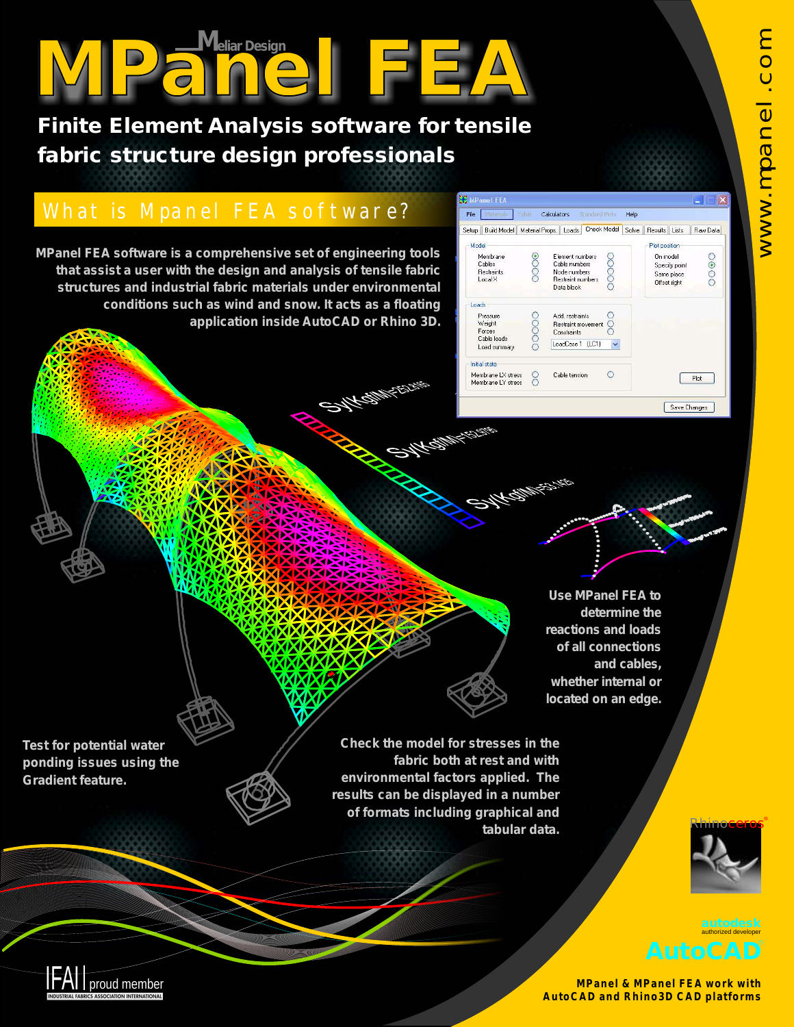**Finite Element Analysis software for tensile fabric structure design professionals**

## What is Mpanel FEA software?

**MPanel FEA software is a comprehensive set of engineering tools that assist a user with the design and analysis of tensile fabric structures and industrial fabric materials under environmental conditions such as wind and snow. It acts as a floating application inside AutoCAD or Rhino 3D.**



**Use MPanel FEA to determine the reactions and loads of all connections and cables, whether internal or located on an edge.**

**Test for potential water ponding issues using the Gradient feature.**

IFAI proud member

**Check the model for stresses in the fabric both at rest and with environmental factors applied. The results can be displayed in a number of formats including graphical and tabular data.**

**ANTED BAR** 





**MPanel & MPanel FEA work with AutoCAD and Rhino3D CAD platforms**